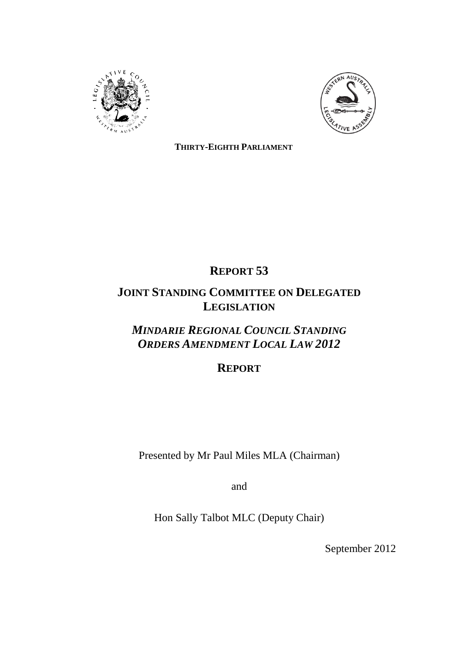



**THIRTY-EIGHTH PARLIAMENT**

# **REPORT 53**

# **JOINT STANDING COMMITTEE ON DELEGATED LEGISLATION**

# *MINDARIE REGIONAL COUNCIL STANDING ORDERS AMENDMENT LOCAL LAW 2012*

# **REPORT**

Presented by Mr Paul Miles MLA (Chairman)

and

Hon Sally Talbot MLC (Deputy Chair)

September 2012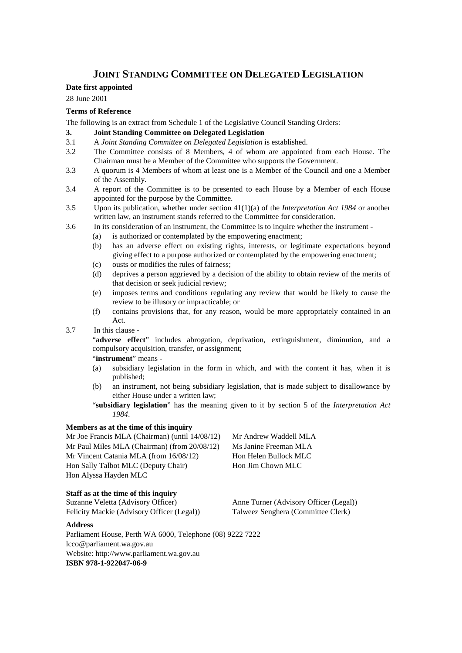### **JOINT STANDING COMMITTEE ON DELEGATED LEGISLATION**

#### **Date first appointed**

28 June 2001

#### **Terms of Reference**

The following is an extract from Schedule 1 of the Legislative Council Standing Orders:

- **3. Joint Standing Committee on Delegated Legislation**
- 3.1 A *Joint Standing Committee on Delegated Legislation* is established.
- 3.2 The Committee consists of 8 Members, 4 of whom are appointed from each House. The Chairman must be a Member of the Committee who supports the Government.
- 3.3 A quorum is 4 Members of whom at least one is a Member of the Council and one a Member of the Assembly.
- 3.4 A report of the Committee is to be presented to each House by a Member of each House appointed for the purpose by the Committee.
- 3.5 Upon its publication, whether under section 41(1)(a) of the *Interpretation Act 1984* or another written law, an instrument stands referred to the Committee for consideration.
- 3.6 In its consideration of an instrument, the Committee is to inquire whether the instrument
	- (a) is authorized or contemplated by the empowering enactment;
	- (b) has an adverse effect on existing rights, interests, or legitimate expectations beyond giving effect to a purpose authorized or contemplated by the empowering enactment;
	- (c) ousts or modifies the rules of fairness;
	- (d) deprives a person aggrieved by a decision of the ability to obtain review of the merits of that decision or seek judicial review;
	- (e) imposes terms and conditions regulating any review that would be likely to cause the review to be illusory or impracticable; or
	- (f) contains provisions that, for any reason, would be more appropriately contained in an Act.
- 3.7 In this clause -

"**adverse effect**" includes abrogation, deprivation, extinguishment, diminution, and a compulsory acquisition, transfer, or assignment;

"**instrument**" means -

- (a) subsidiary legislation in the form in which, and with the content it has, when it is published;
- (b) an instrument, not being subsidiary legislation, that is made subject to disallowance by either House under a written law;
- "**subsidiary legislation**" has the meaning given to it by section 5 of the *Interpretation Act 1984*.

#### **Members as at the time of this inquiry**

Mr Joe Francis MLA (Chairman) (until 14/08/12) Mr Andrew Waddell MLA Mr Paul Miles MLA (Chairman) (from 20/08/12) Mr Vincent Catania MLA (from 16/08/12) Hon Sally Talbot MLC (Deputy Chair) Hon Alyssa Hayden MLC

**Staff as at the time of this inquiry**

Suzanne Veletta (Advisory Officer) Anne Turner (Advisory Officer (Legal)) Felicity Mackie (Advisory Officer (Legal)) Talweez Senghera (Committee Clerk)

Ms Janine Freeman MLA Hon Helen Bullock MLC Hon Jim Chown MLC

#### **Address**

Parliament House, Perth WA 6000, Telephone (08) 9222 7222 lcco@parliament.wa.gov.au Website: http://www.parliament.wa.gov.au **ISBN 978-1-922047-06-9**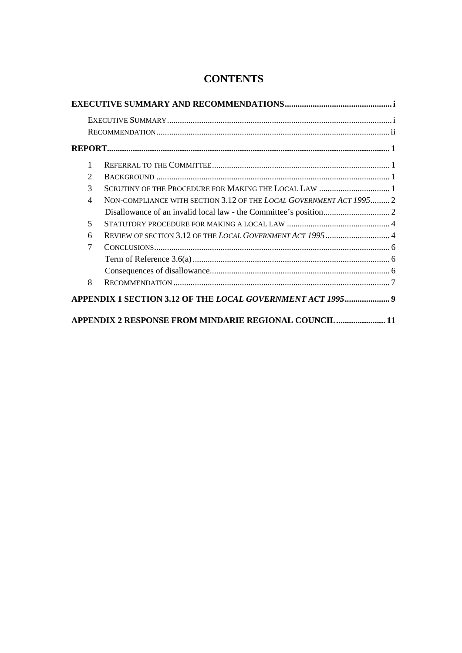| 1              |                                                                     |  |
|----------------|---------------------------------------------------------------------|--|
| $\overline{c}$ |                                                                     |  |
| 3              | SCRUTINY OF THE PROCEDURE FOR MAKING THE LOCAL LAW  1               |  |
| 4              | NON-COMPLIANCE WITH SECTION 3.12 OF THE LOCAL GOVERNMENT ACT 1995 2 |  |
|                |                                                                     |  |
| 5              |                                                                     |  |
| 6              | REVIEW OF SECTION 3.12 OF THE LOCAL GOVERNMENT ACT 1995  4          |  |
| 7              |                                                                     |  |
|                |                                                                     |  |
|                |                                                                     |  |
| 8              |                                                                     |  |
|                | APPENDIX 1 SECTION 3.12 OF THE LOCAL GOVERNMENT ACT 1995 9          |  |

## **CONTENTS**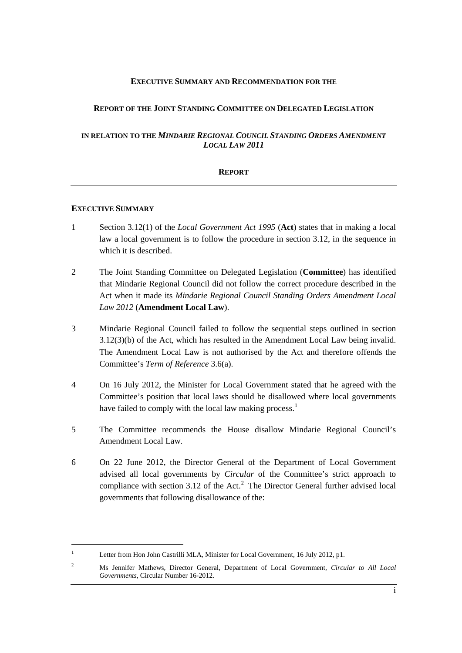#### **EXECUTIVE SUMMARY AND RECOMMENDATION FOR THE**

#### **REPORT OF THE JOINT STANDING COMMITTEE ON DELEGATED LEGISLATION**

#### **IN RELATION TO THE** *MINDARIE REGIONAL COUNCIL STANDING ORDERS AMENDMENT LOCAL LAW 2011*

#### **REPORT**

#### **EXECUTIVE SUMMARY**

- 1 Section 3.12(1) of the *Local Government Act 1995* (**Act**) states that in making a local law a local government is to follow the procedure in section 3.12, in the sequence in which it is described.
- 2 The Joint Standing Committee on Delegated Legislation (**Committee**) has identified that Mindarie Regional Council did not follow the correct procedure described in the Act when it made its *Mindarie Regional Council Standing Orders Amendment Local Law 2012* (**Amendment Local Law**).
- 3 Mindarie Regional Council failed to follow the sequential steps outlined in section 3.12(3)(b) of the Act, which has resulted in the Amendment Local Law being invalid. The Amendment Local Law is not authorised by the Act and therefore offends the Committee's *Term of Reference* 3.6(a).
- 4 On 16 July 2012, the Minister for Local Government stated that he agreed with the Committee's position that local laws should be disallowed where local governments have failed to comply with the local law making process.<sup>[1](#page-4-0)</sup>
- 5 The Committee recommends the House disallow Mindarie Regional Council's Amendment Local Law.
- 6 On 22 June 2012, the Director General of the Department of Local Government advised all local governments by *Circular* of the Committee's strict approach to compliance with section 3.1[2](#page-4-1) of the Act.<sup>2</sup> The Director General further advised local governments that following disallowance of the:

<span id="page-4-0"></span><sup>&</sup>lt;sup>1</sup> Letter from Hon John Castrilli MLA, Minister for Local Government, 16 July 2012, p1.

<span id="page-4-1"></span><sup>2</sup> Ms Jennifer Mathews, Director General, Department of Local Government, *Circular to All Local Governments*, Circular Number 16-2012.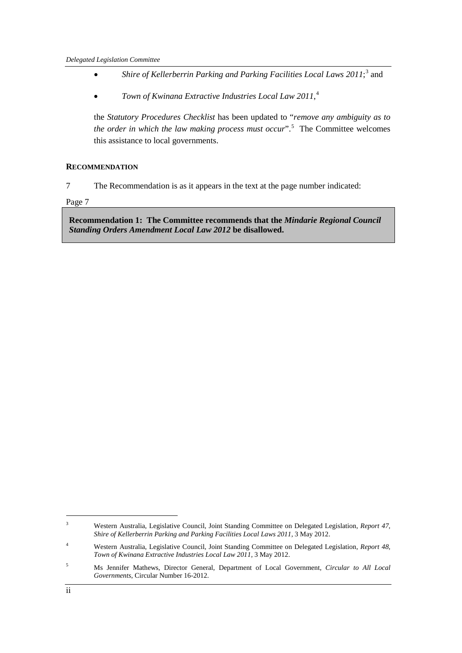- Shire of Kellerberrin Parking and Parking Facilities Local Laws 2011;<sup>[3](#page-5-0)</sup> and
- *Town of Kwinana Extractive Industries Local Law 2011*, [4](#page-5-1)

the *Statutory Procedures Checklist* has been updated to "*remove any ambiguity as to the order in which the law making process must occur*".[5](#page-5-2) The Committee welcomes this assistance to local governments.

#### **RECOMMENDATION**

7 The Recommendation is as it appears in the text at the page number indicated:

Page [7](#page-12-0)

**[Recommendation 1: The Committee recommends that the](#page-12-0)** *Mindarie Regional Council [Standing Orders Amendment Local Law 2012](#page-12-0)* **be disallowed.**

<span id="page-5-0"></span> <sup>3</sup> Western Australia, Legislative Council, Joint Standing Committee on Delegated Legislation, *Report 47, Shire of Kellerberrin Parking and Parking Facilities Local Laws 2011,* 3 May 2012.

<span id="page-5-1"></span><sup>4</sup> Western Australia, Legislative Council, Joint Standing Committee on Delegated Legislation, *Report 48, Town of Kwinana Extractive Industries Local Law 2011*, 3 May 2012.

<span id="page-5-2"></span><sup>5</sup> Ms Jennifer Mathews, Director General, Department of Local Government, *Circular to All Local Governments*, Circular Number 16-2012.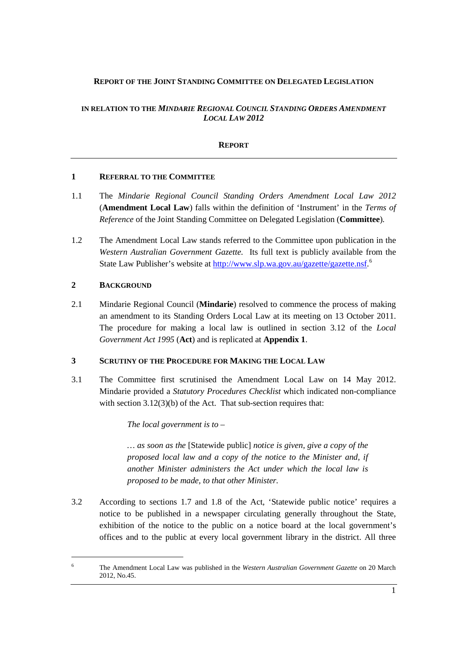#### **REPORT OF THE JOINT STANDING COMMITTEE ON DELEGATED LEGISLATION**

#### **IN RELATION TO THE** *MINDARIE REGIONAL COUNCIL STANDING ORDERS AMENDMENT LOCAL LAW 2012*

#### **REPORT**

#### **1 REFERRAL TO THE COMMITTEE**

- 1.1 The *Mindarie Regional Council Standing Orders Amendment Local Law 2012*  (**Amendment Local Law**) falls within the definition of 'Instrument' in the *Terms of Reference* of the Joint Standing Committee on Delegated Legislation (**Committee**)*.*
- 1.2 The Amendment Local Law stands referred to the Committee upon publication in the *Western Australian Government Gazette.* Its full text is publicly available from the State Law Publisher's website at [http://www.slp.wa.gov.au/gazette/gazette.nsf.](http://www.slp.wa.gov.au/gazette/gazette.nsf)<sup>[6](#page-6-0)</sup>

#### **2 BACKGROUND**

2.1 Mindarie Regional Council (**Mindarie**) resolved to commence the process of making an amendment to its Standing Orders Local Law at its meeting on 13 October 2011. The procedure for making a local law is outlined in section 3.12 of the *Local Government Act 1995* (**Act**) and is replicated at **Appendix 1**.

#### **3 SCRUTINY OF THE PROCEDURE FOR MAKING THE LOCAL LAW**

3.1 The Committee first scrutinised the Amendment Local Law on 14 May 2012. Mindarie provided a *Statutory Procedures Checklist* which indicated non-compliance with section 3.12(3)(b) of the Act. That sub-section requires that:

*The local government is to –*

*… as soon as the* [Statewide public] *notice is given, give a copy of the proposed local law and a copy of the notice to the Minister and, if another Minister administers the Act under which the local law is proposed to be made, to that other Minister.*

3.2 According to sections 1.7 and 1.8 of the Act, 'Statewide public notice' requires a notice to be published in a newspaper circulating generally throughout the State, exhibition of the notice to the public on a notice board at the local government's offices and to the public at every local government library in the district. All three

<span id="page-6-0"></span> <sup>6</sup> The Amendment Local Law was published in the *Western Australian Government Gazette* on 20 March 2012, No.45.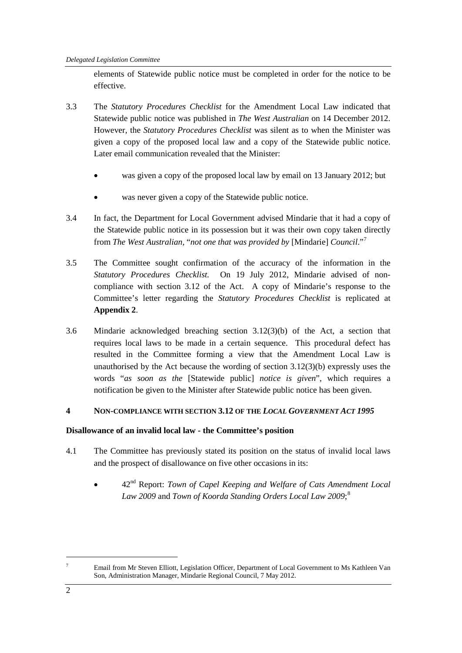elements of Statewide public notice must be completed in order for the notice to be effective.

- 3.3 The *Statutory Procedures Checklist* for the Amendment Local Law indicated that Statewide public notice was published in *The West Australian* on 14 December 2012. However, the *Statutory Procedures Checklist* was silent as to when the Minister was given a copy of the proposed local law and a copy of the Statewide public notice. Later email communication revealed that the Minister:
	- was given a copy of the proposed local law by email on 13 January 2012; but
	- was never given a copy of the Statewide public notice.
- 3.4 In fact, the Department for Local Government advised Mindarie that it had a copy of the Statewide public notice in its possession but it was their own copy taken directly from *The West Australian,* "*not one that was provided by* [Mindarie] *Council*."[7](#page-7-0)
- 3.5 The Committee sought confirmation of the accuracy of the information in the *Statutory Procedures Checklist.* On 19 July 2012, Mindarie advised of noncompliance with section 3.12 of the Act. A copy of Mindarie's response to the Committee's letter regarding the *Statutory Procedures Checklist* is replicated at **Appendix 2**.
- <span id="page-7-1"></span>3.6 Mindarie acknowledged breaching section 3.12(3)(b) of the Act, a section that requires local laws to be made in a certain sequence. This procedural defect has resulted in the Committee forming a view that the Amendment Local Law is unauthorised by the Act because the wording of section 3.12(3)(b) expressly uses the words "*as soon as the* [Statewide public] *notice is given*", which requires a notification be given to the Minister after Statewide public notice has been given.

#### **4 NON-COMPLIANCE WITH SECTION 3.12 OF THE** *LOCAL GOVERNMENT ACT 1995*

#### **Disallowance of an invalid local law - the Committee's position**

- 4.1 The Committee has previously stated its position on the status of invalid local laws and the prospect of disallowance on five other occasions in its:
	- 42nd Report: *Town of Capel Keeping and Welfare of Cats Amendment Local Law 2009* and *Town of Koorda Standing Orders Local Law 2009*; [8](#page-7-1)

<span id="page-7-0"></span>Email from Mr Steven Elliott, Legislation Officer, Department of Local Government to Ms Kathleen Van Son, Administration Manager, Mindarie Regional Council, 7 May 2012.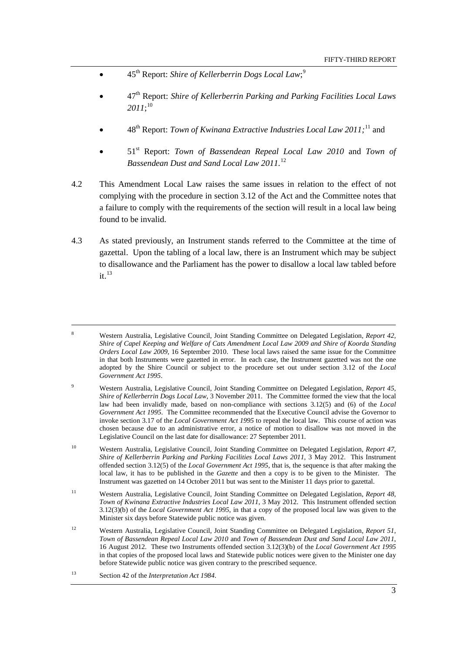- 45<sup>th</sup> Report: *Shire of Kellerberrin Dogs Local Law*;<sup>[9](#page-8-0)</sup>
- 47th Report: *Shire of Kellerberrin Parking and Parking Facilities Local Laws 2011*; [10](#page-8-1)
- 48<sup>th</sup> Report: *Town of Kwinana Extractive Industries Local Law 20[11](#page-8-2)*;<sup>11</sup> and
- 51st Report: *Town of Bassendean Repeal Local Law 2010* and *Town of Bassendean Dust and Sand Local Law 2011.* [12](#page-8-3)
- 4.2 This Amendment Local Law raises the same issues in relation to the effect of not complying with the procedure in section 3.12 of the Act and the Committee notes that a failure to comply with the requirements of the section will result in a local law being found to be invalid.
- 4.3 As stated previously, an Instrument stands referred to the Committee at the time of gazettal. Upon the tabling of a local law, there is an Instrument which may be subject to disallowance and the Parliament has the power to disallow a local law tabled before  $it.<sup>13</sup>$  $it.<sup>13</sup>$  $it.<sup>13</sup>$

- <span id="page-8-0"></span><sup>9</sup> Western Australia, Legislative Council, Joint Standing Committee on Delegated Legislation, *Report 45, Shire of Kellerberrin Dogs Local Law*, 3 November 2011. The Committee formed the view that the local law had been invalidly made, based on non-compliance with sections 3.12(5) and (6) of the *Local Government Act 1995*. The Committee recommended that the Executive Council advise the Governor to invoke section 3.17 of the *Local Government Act 1995* to repeal the local law. This course of action was chosen because due to an administrative error, a notice of motion to disallow was not moved in the Legislative Council on the last date for disallowance: 27 September 2011.
- <span id="page-8-1"></span><sup>10</sup> Western Australia, Legislative Council, Joint Standing Committee on Delegated Legislation, *Report 47, Shire of Kellerberrin Parking and Parking Facilities Local Laws 2011, 3 May 2012. This Instrument* offended section 3.12(5) of the *Local Government Act 1995*, that is, the sequence is that after making the local law, it has to be published in the *Gazette* and then a copy is to be given to the Minister. The Instrument was gazetted on 14 October 2011 but was sent to the Minister 11 days prior to gazettal.
- <span id="page-8-2"></span><sup>11</sup> Western Australia, Legislative Council, Joint Standing Committee on Delegated Legislation, *Report 48, Town of Kwinana Extractive Industries Local Law 2011*, 3 May 2012. This Instrument offended section 3.12(3)(b) of the *Local Government Act 1995*, in that a copy of the proposed local law was given to the Minister six days before Statewide public notice was given.
- <span id="page-8-3"></span><sup>12</sup> Western Australia, Legislative Council, Joint Standing Committee on Delegated Legislation, *Report 51, Town of Bassendean Repeal Local Law 2010* and *Town of Bassendean Dust and Sand Local Law 2011*, 16 August 2012. These two Instruments offended section 3.12(3)(b) of the *Local Government Act 1995* in that copies of the proposed local laws and Statewide public notices were given to the Minister one day before Statewide public notice was given contrary to the prescribed sequence.
- <span id="page-8-4"></span><sup>13</sup> Section 42 of the *Interpretation Act 1984*.

 <sup>8</sup> Western Australia, Legislative Council, Joint Standing Committee on Delegated Legislation, *Report 42, Shire of Capel Keeping and Welfare of Cats Amendment Local Law 2009 and Shire of Koorda Standing Orders Local Law 2009*, 16 September 2010. These local laws raised the same issue for the Committee in that both Instruments were gazetted in error. In each case, the Instrument gazetted was not the one adopted by the Shire Council or subject to the procedure set out under section 3.12 of the *Local Government Act 1995*.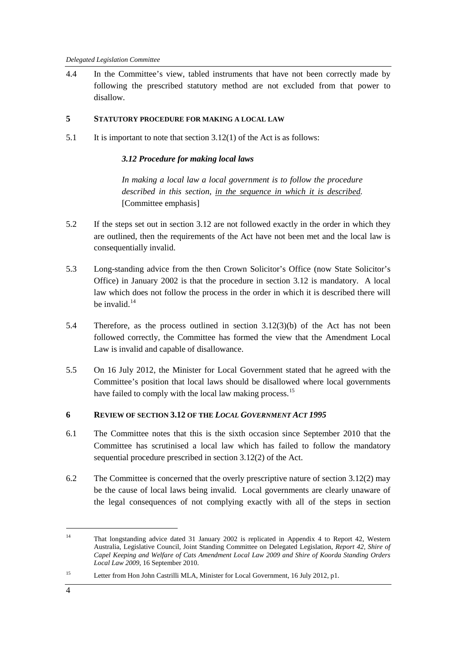4.4 In the Committee's view, tabled instruments that have not been correctly made by following the prescribed statutory method are not excluded from that power to disallow.

#### **5 STATUTORY PROCEDURE FOR MAKING A LOCAL LAW**

5.1 It is important to note that section 3.12(1) of the Act is as follows:

#### *3.12 Procedure for making local laws*

*In making a local law a local government is to follow the procedure described in this section, in the sequence in which it is described.* [Committee emphasis]

- 5.2 If the steps set out in section 3.12 are not followed exactly in the order in which they are outlined, then the requirements of the Act have not been met and the local law is consequentially invalid.
- 5.3 Long-standing advice from the then Crown Solicitor's Office (now State Solicitor's Office) in January 2002 is that the procedure in section 3.12 is mandatory. A local law which does not follow the process in the order in which it is described there will be invalid  $14$
- 5.4 Therefore, as the process outlined in section 3.12(3)(b) of the Act has not been followed correctly, the Committee has formed the view that the Amendment Local Law is invalid and capable of disallowance.
- 5.5 On 16 July 2012, the Minister for Local Government stated that he agreed with the Committee's position that local laws should be disallowed where local governments have failed to comply with the local law making process.<sup>[15](#page-9-1)</sup>

#### **6 REVIEW OF SECTION 3.12 OF THE** *LOCAL GOVERNMENT ACT 1995*

- 6.1 The Committee notes that this is the sixth occasion since September 2010 that the Committee has scrutinised a local law which has failed to follow the mandatory sequential procedure prescribed in section 3.12(2) of the Act.
- 6.2 The Committee is concerned that the overly prescriptive nature of section 3.12(2) may be the cause of local laws being invalid. Local governments are clearly unaware of the legal consequences of not complying exactly with all of the steps in section

<span id="page-9-0"></span> <sup>14</sup> That longstanding advice dated 31 January 2002 is replicated in Appendix 4 to Report 42, Western Australia, Legislative Council, Joint Standing Committee on Delegated Legislation, *Report 42, Shire of Capel Keeping and Welfare of Cats Amendment Local Law 2009 and Shire of Koorda Standing Orders Local Law 2009*, 16 September 2010.

<span id="page-9-1"></span><sup>&</sup>lt;sup>15</sup> Letter from Hon John Castrilli MLA, Minister for Local Government, 16 July 2012, p1.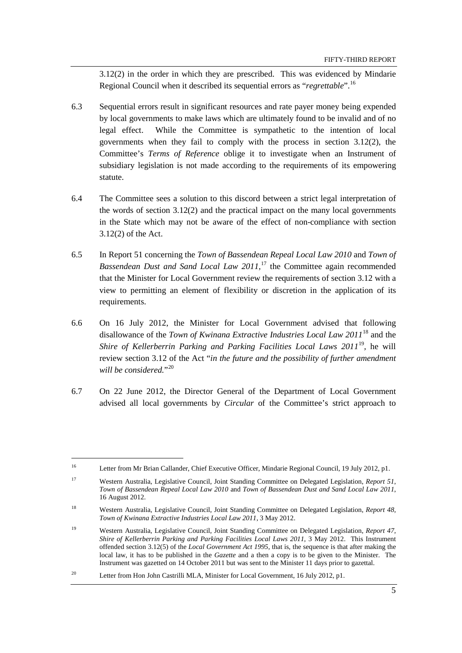3.12(2) in the order in which they are prescribed. This was evidenced by Mindarie Regional Council when it described its sequential errors as "*regrettable*".[16](#page-10-0)

- 6.3 Sequential errors result in significant resources and rate payer money being expended by local governments to make laws which are ultimately found to be invalid and of no legal effect. While the Committee is sympathetic to the intention of local governments when they fail to comply with the process in section 3.12(2), the Committee's *Terms of Reference* oblige it to investigate when an Instrument of subsidiary legislation is not made according to the requirements of its empowering statute.
- 6.4 The Committee sees a solution to this discord between a strict legal interpretation of the words of section 3.12(2) and the practical impact on the many local governments in the State which may not be aware of the effect of non-compliance with section 3.12(2) of the Act.
- 6.5 In Report 51 concerning the *Town of Bassendean Repeal Local Law 2010* and *Town of Bassendean Dust and Sand Local Law 2011*,<sup>[17](#page-10-1)</sup> the Committee again recommended that the Minister for Local Government review the requirements of section 3.12 with a view to permitting an element of flexibility or discretion in the application of its requirements.
- 6.6 On 16 July 2012, the Minister for Local Government advised that following disallowance of the *Town of Kwinana Extractive Industries Local Law 2011*[18](#page-10-2) and the *Shire of Kellerberrin Parking and Parking Facilities Local Laws 2011*[19](#page-10-3)*,* he will review section 3.12 of the Act "*in the future and the possibility of further amendment will be considered.*"[20](#page-10-4)
- 6.7 On 22 June 2012, the Director General of the Department of Local Government advised all local governments by *Circular* of the Committee's strict approach to

<span id="page-10-0"></span> <sup>16</sup> Letter from Mr Brian Callander, Chief Executive Officer, Mindarie Regional Council, 19 July 2012, p1.

<span id="page-10-1"></span><sup>17</sup> Western Australia, Legislative Council, Joint Standing Committee on Delegated Legislation, *Report 51, Town of Bassendean Repeal Local Law 2010* and *Town of Bassendean Dust and Sand Local Law 2011*, 16 August 2012.

<span id="page-10-2"></span><sup>18</sup> Western Australia, Legislative Council, Joint Standing Committee on Delegated Legislation, *Report 48, Town of Kwinana Extractive Industries Local Law 2011*, 3 May 2012.

<span id="page-10-3"></span><sup>19</sup> Western Australia, Legislative Council, Joint Standing Committee on Delegated Legislation, *Report 47, Shire of Kellerberrin Parking and Parking Facilities Local Laws 2011,* 3 May 2012. This Instrument offended section 3.12(5) of the *Local Government Act 1995*, that is, the sequence is that after making the local law, it has to be published in the *Gazette* and a then a copy is to be given to the Minister. The Instrument was gazetted on 14 October 2011 but was sent to the Minister 11 days prior to gazettal.

<span id="page-10-4"></span><sup>&</sup>lt;sup>20</sup> Letter from Hon John Castrilli MLA, Minister for Local Government, 16 July 2012, p1.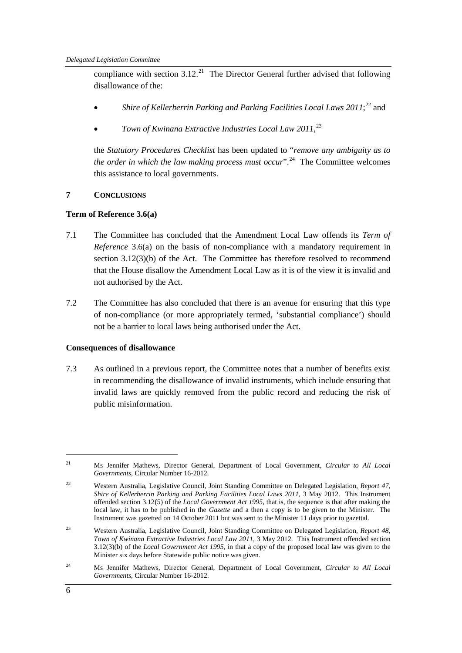compliance with section  $3.12<sup>21</sup>$  The Director General further advised that following disallowance of the:

- Shire of Kellerberrin Parking and Parking Facilities Local Laws 2011;<sup>[22](#page-11-1)</sup> and
- *Town of Kwinana Extractive Industries Local Law 2011,* [23](#page-11-2)

the *Statutory Procedures Checklist* has been updated to "*remove any ambiguity as to the order in which the law making process must occur*".<sup>[24](#page-11-3)</sup> The Committee welcomes this assistance to local governments.

#### **7 CONCLUSIONS**

#### **Term of Reference 3.6(a)**

- 7.1 The Committee has concluded that the Amendment Local Law offends its *Term of Reference* 3.6(a) on the basis of non-compliance with a mandatory requirement in section 3.12(3)(b) of the Act. The Committee has therefore resolved to recommend that the House disallow the Amendment Local Law as it is of the view it is invalid and not authorised by the Act.
- 7.2 The Committee has also concluded that there is an avenue for ensuring that this type of non-compliance (or more appropriately termed, 'substantial compliance') should not be a barrier to local laws being authorised under the Act.

#### **Consequences of disallowance**

7.3 As outlined in a previous report, the Committee notes that a number of benefits exist in recommending the disallowance of invalid instruments, which include ensuring that invalid laws are quickly removed from the public record and reducing the risk of public misinformation.

<span id="page-11-3"></span><sup>24</sup> Ms Jennifer Mathews, Director General, Department of Local Government, *Circular to All Local Governments*, Circular Number 16-2012.

<span id="page-11-0"></span> <sup>21</sup> Ms Jennifer Mathews, Director General, Department of Local Government, *Circular to All Local Governments*, Circular Number 16-2012.

<span id="page-11-1"></span><sup>22</sup> Western Australia, Legislative Council, Joint Standing Committee on Delegated Legislation, *Report 47, Shire of Kellerberrin Parking and Parking Facilities Local Laws 2011,* 3 May 2012. This Instrument offended section 3.12(5) of the *Local Government Act 1995*, that is, the sequence is that after making the local law, it has to be published in the *Gazette* and a then a copy is to be given to the Minister. The Instrument was gazetted on 14 October 2011 but was sent to the Minister 11 days prior to gazettal.

<span id="page-11-2"></span><sup>23</sup> Western Australia, Legislative Council, Joint Standing Committee on Delegated Legislation, *Report 48, Town of Kwinana Extractive Industries Local Law 2011*, 3 May 2012. This Instrument offended section 3.12(3)(b) of the *Local Government Act 1995*, in that a copy of the proposed local law was given to the Minister six days before Statewide public notice was given.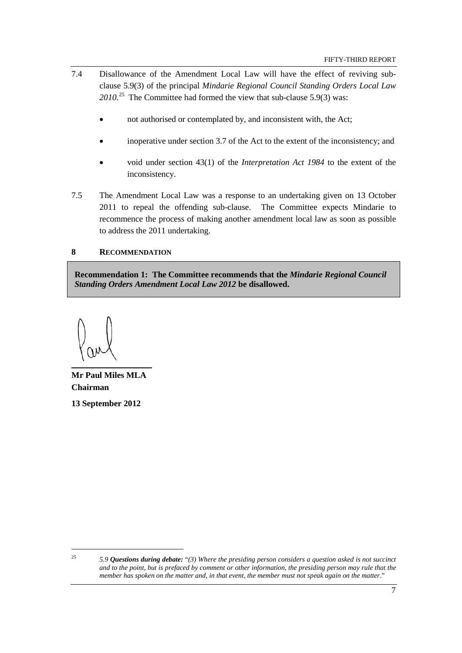- 7.4 Disallowance of the Amendment Local Law will have the effect of reviving subclause 5.9(3) of the principal *Mindarie Regional Council Standing Orders Local Law 2010.*[25](#page-12-1) The Committee had formed the view that sub-clause 5.9(3) was:
	- not authorised or contemplated by, and inconsistent with, the Act;
	- inoperative under section 3.7 of the Act to the extent of the inconsistency; and
	- void under section 43(1) of the *Interpretation Act 1984* to the extent of the inconsistency.
- 7.5 The Amendment Local Law was a response to an undertaking given on 13 October 2011 to repeal the offending sub-clause. The Committee expects Mindarie to recommence the process of making another amendment local law as soon as possible to address the 2011 undertaking.

#### **8 RECOMMENDATION**

<span id="page-12-0"></span>**Recommendation 1: The Committee recommends that the** *Mindarie Regional Council Standing Orders Amendment Local Law 2012* **be disallowed.**

**Mr Paul Miles MLA Chairman**

**13 September 2012**

<span id="page-12-1"></span> <sup>25</sup> *5.9 Questions during debate:* "*(3) Where the presiding person considers a question asked is not succinct and to the point, but is prefaced by comment or other information, the presiding person may rule that the member has spoken on the matter and, in that event, the member must not speak again on the matter*."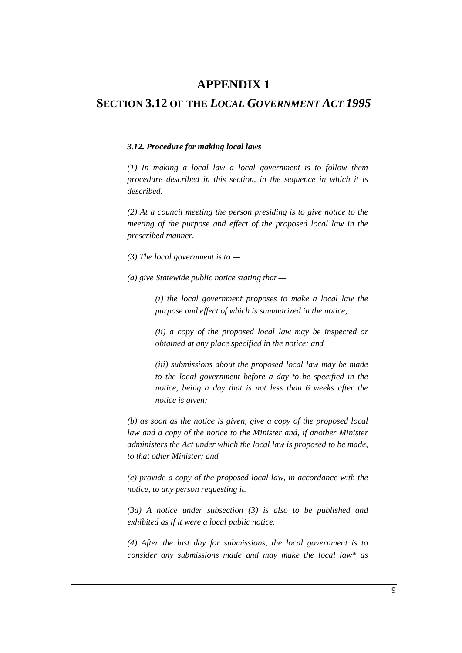## **APPENDIX 1**

### **SECTION 3.12 OF THE** *LOCAL GOVERNMENT ACT 1995*

#### *3.12. Procedure for making local laws*

*(1) In making a local law a local government is to follow them procedure described in this section, in the sequence in which it is described.*

*(2) At a council meeting the person presiding is to give notice to the meeting of the purpose and effect of the proposed local law in the prescribed manner.*

*(3) The local government is to —*

*(a) give Statewide public notice stating that —*

*(i) the local government proposes to make a local law the purpose and effect of which is summarized in the notice;*

*(ii) a copy of the proposed local law may be inspected or obtained at any place specified in the notice; and*

*(iii) submissions about the proposed local law may be made to the local government before a day to be specified in the notice, being a day that is not less than 6 weeks after the notice is given;*

*(b) as soon as the notice is given, give a copy of the proposed local law and a copy of the notice to the Minister and, if another Minister administers the Act under which the local law is proposed to be made, to that other Minister; and*

*(c) provide a copy of the proposed local law, in accordance with the notice, to any person requesting it.*

*(3a) A notice under subsection (3) is also to be published and exhibited as if it were a local public notice.*

*(4) After the last day for submissions, the local government is to consider any submissions made and may make the local law\* as*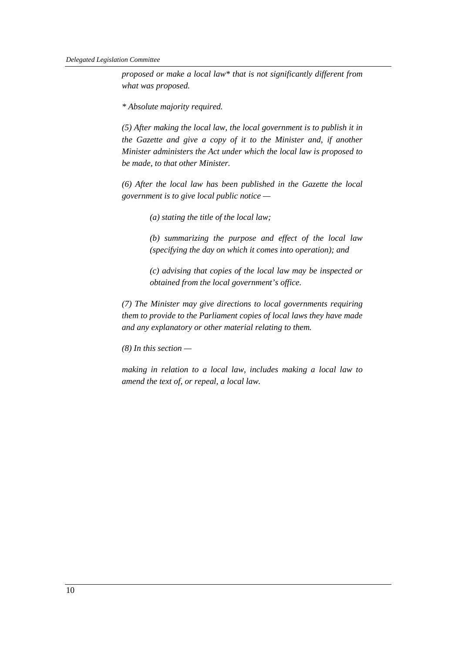*proposed or make a local law\* that is not significantly different from what was proposed.*

*\* Absolute majority required.*

*(5) After making the local law, the local government is to publish it in the Gazette and give a copy of it to the Minister and, if another Minister administers the Act under which the local law is proposed to be made, to that other Minister.*

*(6) After the local law has been published in the Gazette the local government is to give local public notice —*

*(a) stating the title of the local law;*

*(b) summarizing the purpose and effect of the local law (specifying the day on which it comes into operation); and*

*(c) advising that copies of the local law may be inspected or obtained from the local government's office.*

*(7) The Minister may give directions to local governments requiring them to provide to the Parliament copies of local laws they have made and any explanatory or other material relating to them.*

*(8) In this section —*

*making in relation to a local law, includes making a local law to amend the text of, or repeal, a local law.*